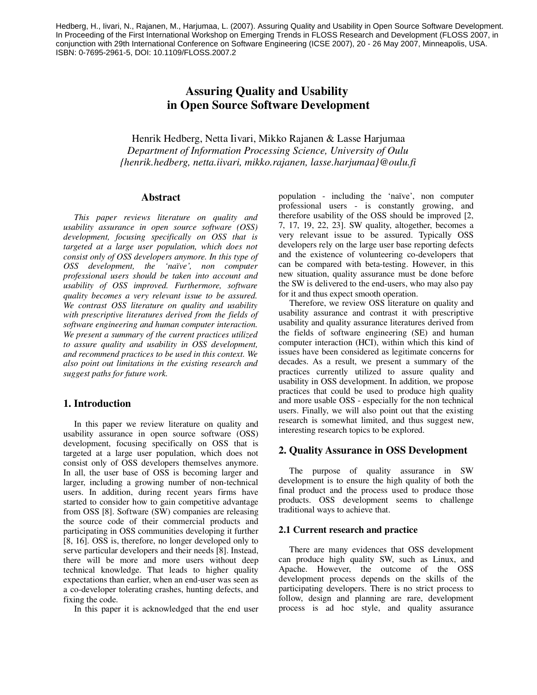Hedberg, H., Iivari, N., Rajanen, M., Harjumaa, L. (2007). Assuring Quality and Usability in Open Source Software Development. In Proceeding of the First International Workshop on Emerging Trends in FLOSS Research and Development (FLOSS 2007, in conjunction with 29th International Conference on Software Engineering (ICSE 2007), 20 - 26 May 2007, Minneapolis, USA. ISBN: 0-7695-2961-5, DOI: 10.1109/FLOSS.2007.2

# Assuring Quality and Usability in Open Source Software Development

Henrik Hedberg, Netta Iivari, Mikko Rajanen & Lasse Harjumaa *Department of Information Processing Science, University of Oulu {henrik.hedberg, netta.iivari, mikko.rajanen, lasse.harjumaa}@oulu.fi*

## Abstract

*This paper reviews literature on quality and usability assurance in open source software (OSS) development, focusing specifically on OSS that is targeted at a large user population, which does not consist only of OSS developers anymore. In this type of OSS development, the 'naïve', non computer professional users should be taken into account and usability of OSS improved. Furthermore, software quality becomes a very relevant issue to be assured. We contrast OSS literature on quality and usability with prescriptive literatures derived from the fields of software engineering and human computer interaction. We present a summary of the current practices utilized to assure quality and usability in OSS development, and recommend practices to be used in this context. We also point out limitations in the existing research and suggest paths for future work.* 

#### 1. Introduction

In this paper we review literature on quality and usability assurance in open source software (OSS) development, focusing specifically on OSS that is targeted at a large user population, which does not consist only of OSS developers themselves anymore. In all, the user base of OSS is becoming larger and larger, including a growing number of non-technical users. In addition, during recent years firms have started to consider how to gain competitive advantage from OSS [8]. Software (SW) companies are releasing the source code of their commercial products and participating in OSS communities developing it further [8, 16]. OSS is, therefore, no longer developed only to serve particular developers and their needs [8]. Instead, there will be more and more users without deep technical knowledge. That leads to higher quality expectations than earlier, when an end-user was seen as a co-developer tolerating crashes, hunting defects, and fixing the code.

In this paper it is acknowledged that the end user

population - including the 'naïve', non computer professional users - is constantly growing, and therefore usability of the OSS should be improved [2, 7, 17, 19, 22, 23]. SW quality, altogether, becomes a very relevant issue to be assured. Typically OSS developers rely on the large user base reporting defects and the existence of volunteering co-developers that can be compared with beta-testing. However, in this new situation, quality assurance must be done before the SW is delivered to the end-users, who may also pay for it and thus expect smooth operation.

Therefore, we review OSS literature on quality and usability assurance and contrast it with prescriptive usability and quality assurance literatures derived from the fields of software engineering (SE) and human computer interaction (HCI), within which this kind of issues have been considered as legitimate concerns for decades. As a result, we present a summary of the practices currently utilized to assure quality and usability in OSS development. In addition, we propose practices that could be used to produce high quality and more usable OSS - especially for the non technical users. Finally, we will also point out that the existing research is somewhat limited, and thus suggest new, interesting research topics to be explored.

## 2. Quality Assurance in OSS Development

The purpose of quality assurance in SW development is to ensure the high quality of both the final product and the process used to produce those products. OSS development seems to challenge traditional ways to achieve that.

#### 2.1 Current research and practice

There are many evidences that OSS development can produce high quality SW, such as Linux, and Apache. However, the outcome of the OSS development process depends on the skills of the participating developers. There is no strict process to follow, design and planning are rare, development process is ad hoc style, and quality assurance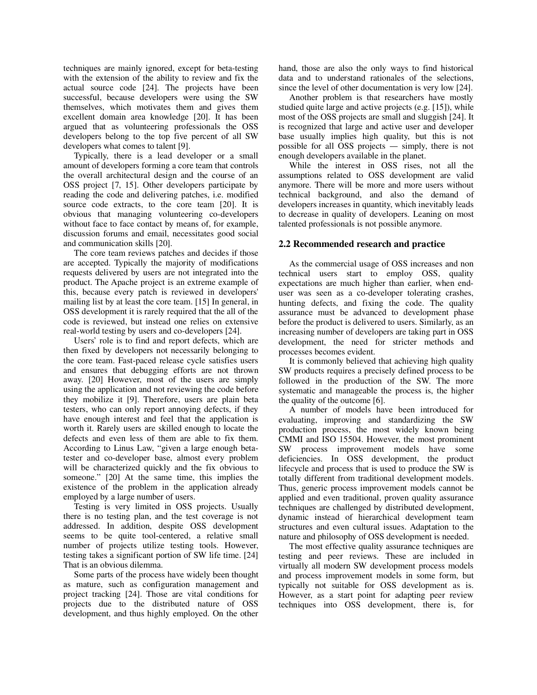techniques are mainly ignored, except for beta-testing with the extension of the ability to review and fix the actual source code [24]. The projects have been successful, because developers were using the SW themselves, which motivates them and gives them excellent domain area knowledge [20]. It has been argued that as volunteering professionals the OSS developers belong to the top five percent of all SW developers what comes to talent [9].

Typically, there is a lead developer or a small amount of developers forming a core team that controls the overall architectural design and the course of an OSS project [7, 15]. Other developers participate by reading the code and delivering patches, i.e. modified source code extracts, to the core team [20]. It is obvious that managing volunteering co-developers without face to face contact by means of, for example, discussion forums and email, necessitates good social and communication skills [20].

The core team reviews patches and decides if those are accepted. Typically the majority of modifications requests delivered by users are not integrated into the product. The Apache project is an extreme example of this, because every patch is reviewed in developers' mailing list by at least the core team. [15] In general, in OSS development it is rarely required that the all of the code is reviewed, but instead one relies on extensive real-world testing by users and co-developers [24].

Users' role is to find and report defects, which are then fixed by developers not necessarily belonging to the core team. Fast-paced release cycle satisfies users and ensures that debugging efforts are not thrown away. [20] However, most of the users are simply using the application and not reviewing the code before they mobilize it [9]. Therefore, users are plain beta testers, who can only report annoying defects, if they have enough interest and feel that the application is worth it. Rarely users are skilled enough to locate the defects and even less of them are able to fix them. According to Linus Law, "given a large enough betatester and co-developer base, almost every problem will be characterized quickly and the fix obvious to someone." [20] At the same time, this implies the existence of the problem in the application already employed by a large number of users.

Testing is very limited in OSS projects. Usually there is no testing plan, and the test coverage is not addressed. In addition, despite OSS development seems to be quite tool-centered, a relative small number of projects utilize testing tools. However, testing takes a significant portion of SW life time. [24] That is an obvious dilemma.

Some parts of the process have widely been thought as mature, such as configuration management and project tracking [24]. Those are vital conditions for projects due to the distributed nature of OSS development, and thus highly employed. On the other hand, those are also the only ways to find historical data and to understand rationales of the selections, since the level of other documentation is very low [24].

Another problem is that researchers have mostly studied quite large and active projects (e.g. [15]), while most of the OSS projects are small and sluggish [24]. It is recognized that large and active user and developer base usually implies high quality, but this is not possible for all OSS projects  $-$  simply, there is not enough developers available in the planet.

While the interest in OSS rises, not all the assumptions related to OSS development are valid anymore. There will be more and more users without technical background, and also the demand of developers increases in quantity, which inevitably leads to decrease in quality of developers. Leaning on most talented professionals is not possible anymore.

## 2.2 Recommended research and practice

As the commercial usage of OSS increases and non technical users start to employ OSS, quality expectations are much higher than earlier, when enduser was seen as a co-developer tolerating crashes, hunting defects, and fixing the code. The quality assurance must be advanced to development phase before the product is delivered to users. Similarly, as an increasing number of developers are taking part in OSS development, the need for stricter methods and processes becomes evident.

It is commonly believed that achieving high quality SW products requires a precisely defined process to be followed in the production of the SW. The more systematic and manageable the process is, the higher the quality of the outcome [6].

A number of models have been introduced for evaluating, improving and standardizing the SW production process, the most widely known being CMMI and ISO 15504. However, the most prominent SW process improvement models have some deficiencies. In OSS development, the product lifecycle and process that is used to produce the SW is totally different from traditional development models. Thus, generic process improvement models cannot be applied and even traditional, proven quality assurance techniques are challenged by distributed development, dynamic instead of hierarchical development team structures and even cultural issues. Adaptation to the nature and philosophy of OSS development is needed.

The most effective quality assurance techniques are testing and peer reviews. These are included in virtually all modern SW development process models and process improvement models in some form, but typically not suitable for OSS development as is. However, as a start point for adapting peer review techniques into OSS development, there is, for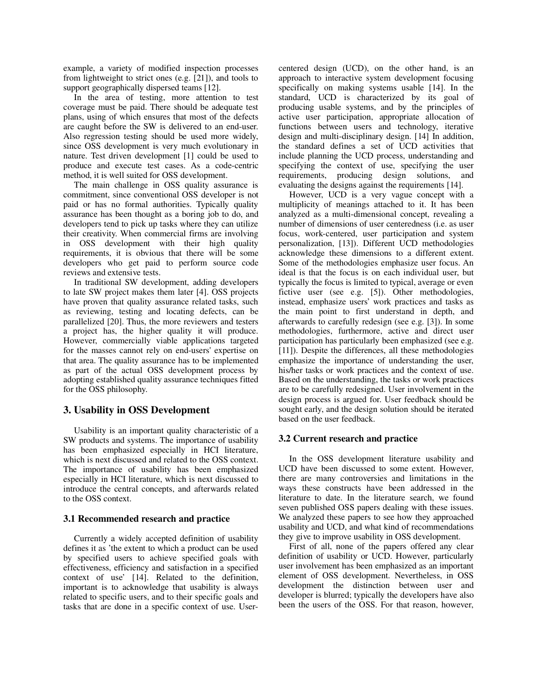example, a variety of modified inspection processes from lightweight to strict ones (e.g. [21]), and tools to support geographically dispersed teams [12].

In the area of testing, more attention to test coverage must be paid. There should be adequate test plans, using of which ensures that most of the defects are caught before the SW is delivered to an end-user. Also regression testing should be used more widely, since OSS development is very much evolutionary in nature. Test driven development [1] could be used to produce and execute test cases. As a code-centric method, it is well suited for OSS development.

The main challenge in OSS quality assurance is commitment, since conventional OSS developer is not paid or has no formal authorities. Typically quality assurance has been thought as a boring job to do, and developers tend to pick up tasks where they can utilize their creativity. When commercial firms are involving in OSS development with their high quality requirements, it is obvious that there will be some developers who get paid to perform source code reviews and extensive tests.

In traditional SW development, adding developers to late SW project makes them later [4]. OSS projects have proven that quality assurance related tasks, such as reviewing, testing and locating defects, can be parallelized [20]. Thus, the more reviewers and testers a project has, the higher quality it will produce. However, commercially viable applications targeted for the masses cannot rely on end-users' expertise on that area. The quality assurance has to be implemented as part of the actual OSS development process by adopting established quality assurance techniques fitted for the OSS philosophy.

## 3. Usability in OSS Development

Usability is an important quality characteristic of a SW products and systems. The importance of usability has been emphasized especially in HCI literature, which is next discussed and related to the OSS context. The importance of usability has been emphasized especially in HCI literature, which is next discussed to introduce the central concepts, and afterwards related to the OSS context.

## 3.1 Recommended research and practice

Currently a widely accepted definition of usability defines it as 'the extent to which a product can be used by specified users to achieve specified goals with effectiveness, efficiency and satisfaction in a specified context of use' [14]. Related to the definition, important is to acknowledge that usability is always related to specific users, and to their specific goals and tasks that are done in a specific context of use. Usercentered design (UCD), on the other hand, is an approach to interactive system development focusing specifically on making systems usable [14]. In the standard, UCD is characterized by its goal of producing usable systems, and by the principles of active user participation, appropriate allocation of functions between users and technology, iterative design and multi-disciplinary design. [14] In addition, the standard defines a set of UCD activities that include planning the UCD process, understanding and specifying the context of use, specifying the user requirements, producing design solutions, and evaluating the designs against the requirements [14].

However, UCD is a very vague concept with a multiplicity of meanings attached to it. It has been analyzed as a multi-dimensional concept, revealing a number of dimensions of user centeredness (i.e. as user focus, work-centered, user participation and system personalization, [13]). Different UCD methodologies acknowledge these dimensions to a different extent. Some of the methodologies emphasize user focus. An ideal is that the focus is on each individual user, but typically the focus is limited to typical, average or even fictive user (see e.g. [5]). Other methodologies, instead, emphasize users' work practices and tasks as the main point to first understand in depth, and afterwards to carefully redesign (see e.g. [3]). In some methodologies, furthermore, active and direct user participation has particularly been emphasized (see e.g. [11]). Despite the differences, all these methodologies emphasize the importance of understanding the user, his/her tasks or work practices and the context of use. Based on the understanding, the tasks or work practices are to be carefully redesigned. User involvement in the design process is argued for. User feedback should be sought early, and the design solution should be iterated based on the user feedback.

## 3.2 Current research and practice

In the OSS development literature usability and UCD have been discussed to some extent. However, there are many controversies and limitations in the ways these constructs have been addressed in the literature to date. In the literature search, we found seven published OSS papers dealing with these issues. We analyzed these papers to see how they approached usability and UCD, and what kind of recommendations they give to improve usability in OSS development.

First of all, none of the papers offered any clear definition of usability or UCD. However, particularly user involvement has been emphasized as an important element of OSS development. Nevertheless, in OSS development the distinction between user and developer is blurred; typically the developers have also been the users of the OSS. For that reason, however,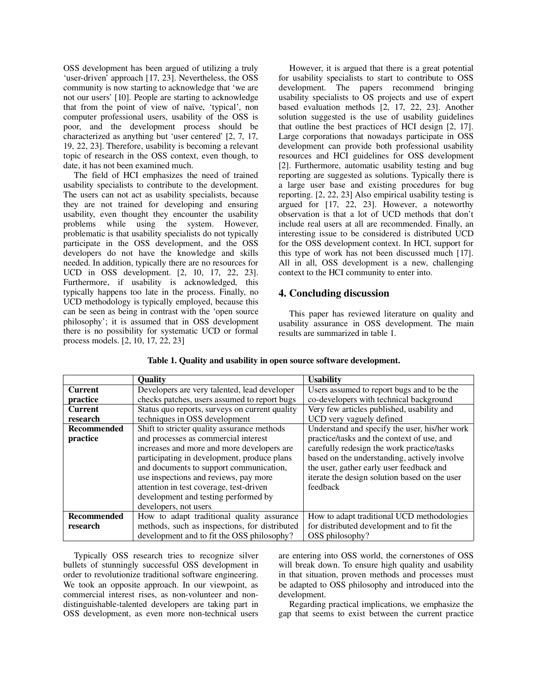OSS development has been argued of utilizing a truly 'user-driven' approach [17, 23]. Nevertheless, the OSS community is now starting to acknowledge that 'we are not our users' [10]. People are starting to acknowledge that from the point of view of naïve, 'typical', non computer professional users, usability of the OSS is poor, and the development process should be characterized as anything but 'user centered' [2, 7, 17, 19, 22, 23]. Therefore, usability is becoming a relevant topic of research in the OSS context, even though, to date, it has not been examined much.

The field of HCI emphasizes the need of trained usability specialists to contribute to the development. The users can not act as usability specialists, because they are not trained for developing and ensuring usability, even thought they encounter the usability problems while using the system. However, problematic is that usability specialists do not typically participate in the OSS development, and the OSS developers do not have the knowledge and skills needed. In addition, typically there are no resources for UCD in OSS development. [2, 10, 17, 22, 23]. Furthermore, if usability is acknowledged, this typically happens too late in the process. Finally, no UCD methodology is typically employed, because this can be seen as being in contrast with the 'open source philosophy'; it is assumed that in OSS development there is no possibility for systematic UCD or formal process models. [2, 10, 17, 22, 23]

However, it is argued that there is a great potential for usability specialists to start to contribute to OSS development. The papers recommend bringing usability specialists to OS projects and use of expert based evaluation methods [2, 17, 22, 23]. Another solution suggested is the use of usability guidelines that outline the best practices of HCI design [2, 17]. Large corporations that nowadays participate in OSS development can provide both professional usability resources and HCI guidelines for OSS development [2]. Furthermore, automatic usability testing and bug reporting are suggested as solutions. Typically there is a large user base and existing procedures for bug reporting. [2, 22, 23] Also empirical usability testing is argued for [17, 22, 23]. However, a noteworthy observation is that a lot of UCD methods that don't include real users at all are recommended. Finally, an interesting issue to be considered is distributed UCD for the OSS development context. In HCI, support for this type of work has not been discussed much [17]. All in all, OSS development is a new, challenging context to the HCI community to enter into.

## 4. Concluding discussion

This paper has reviewed literature on quality and usability assurance in OSS development. The main results are summarized in table 1.

|                    | <b>Quality</b>                                 | <b>Usability</b>                              |
|--------------------|------------------------------------------------|-----------------------------------------------|
| <b>Current</b>     | Developers are very talented, lead developer   | Users assumed to report bugs and to be the    |
| practice           | checks patches, users assumed to report bugs   | co-developers with technical background       |
| <b>Current</b>     | Status quo reports, surveys on current quality | Very few articles published, usability and    |
| research           | techniques in OSS development                  | UCD very vaguely defined                      |
| <b>Recommended</b> | Shift to stricter quality assurance methods    | Understand and specify the user, his/her work |
| practice           | and processes as commercial interest           | practice/tasks and the context of use, and    |
|                    | increases and more and more developers are     | carefully redesign the work practice/tasks    |
|                    | participating in development, produce plans    | based on the understanding, actively involve  |
|                    | and documents to support communication,        | the user, gather early user feedback and      |
|                    | use inspections and reviews, pay more          | iterate the design solution based on the user |
|                    | attention in test coverage, test-driven        | feedback                                      |
|                    | development and testing performed by           |                                               |
|                    | developers, not users                          |                                               |
| <b>Recommended</b> | How to adapt traditional quality assurance     | How to adapt traditional UCD methodologies    |
| research           | methods, such as inspections, for distributed  | for distributed development and to fit the    |
|                    | development and to fit the OSS philosophy?     | OSS philosophy?                               |

Table 1. Quality and usability in open source software development.

Typically OSS research tries to recognize silver bullets of stunningly successful OSS development in order to revolutionize traditional software engineering. We took an opposite approach. In our viewpoint, as commercial interest rises, as non-volunteer and nondistinguishable-talented developers are taking part in OSS development, as even more non-technical users

are entering into OSS world, the cornerstones of OSS will break down. To ensure high quality and usability in that situation, proven methods and processes must be adapted to OSS philosophy and introduced into the development.

Regarding practical implications, we emphasize the gap that seems to exist between the current practice